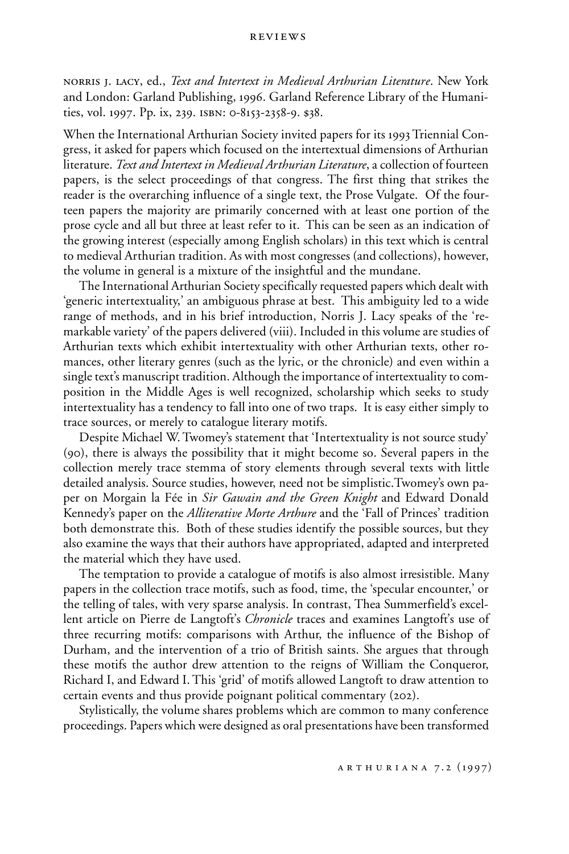norris j. lacy, ed., *Text and Intertext in Medieval Arthurian Literature*. New York and London: Garland Publishing, 1996. Garland Reference Library of the Humanities, vol. 1997. Pp. ix, 239. isbn: 0-8153-2358-9. \$38.

When the International Arthurian Society invited papers for its 1993 Triennial Congress, it asked for papers which focused on the intertextual dimensions of Arthurian literature. *Text and Intertext in Medieval Arthurian Literature*, a collection of fourteen papers, is the select proceedings of that congress. The first thing that strikes the reader is the overarching influence of a single text, the Prose Vulgate. Of the fourteen papers the majority are primarily concerned with at least one portion of the prose cycle and all but three at least refer to it. This can be seen as an indication of the growing interest (especially among English scholars) in this text which is central to medieval Arthurian tradition. As with most congresses (and collections), however, the volume in general is a mixture of the insightful and the mundane.

The International Arthurian Society specifically requested papers which dealt with 'generic intertextuality,' an ambiguous phrase at best. This ambiguity led to a wide range of methods, and in his brief introduction, Norris J. Lacy speaks of the 'remarkable variety' of the papers delivered (viii). Included in this volume are studies of Arthurian texts which exhibit intertextuality with other Arthurian texts, other romances, other literary genres (such as the lyric, or the chronicle) and even within a single text's manuscript tradition. Although the importance of intertextuality to composition in the Middle Ages is well recognized, scholarship which seeks to study intertextuality has a tendency to fall into one of two traps. It is easy either simply to trace sources, or merely to catalogue literary motifs.

Despite Michael W. Twomey's statement that 'Intertextuality is not source study' (90), there is always the possibility that it might become so. Several papers in the collection merely trace stemma of story elements through several texts with little detailed analysis. Source studies, however, need not be simplistic.Twomey's own paper on Morgain la Fée in *Sir Gawain and the Green Knight* and Edward Donald Kennedy's paper on the *Alliterative Morte Arthure* and the 'Fall of Princes' tradition both demonstrate this. Both of these studies identify the possible sources, but they also examine the ways that their authors have appropriated, adapted and interpreted the material which they have used.

The temptation to provide a catalogue of motifs is also almost irresistible. Many papers in the collection trace motifs, such as food, time, the 'specular encounter,' or the telling of tales, with very sparse analysis. In contrast, Thea Summerfield's excellent article on Pierre de Langtoft's *Chronicle* traces and examines Langtoft's use of three recurring motifs: comparisons with Arthur, the influence of the Bishop of Durham, and the intervention of a trio of British saints. She argues that through these motifs the author drew attention to the reigns of William the Conqueror, Richard I, and Edward I. This 'grid' of motifs allowed Langtoft to draw attention to certain events and thus provide poignant political commentary (202).

Stylistically, the volume shares problems which are common to many conference proceedings. Papers which were designed as oral presentations have been transformed